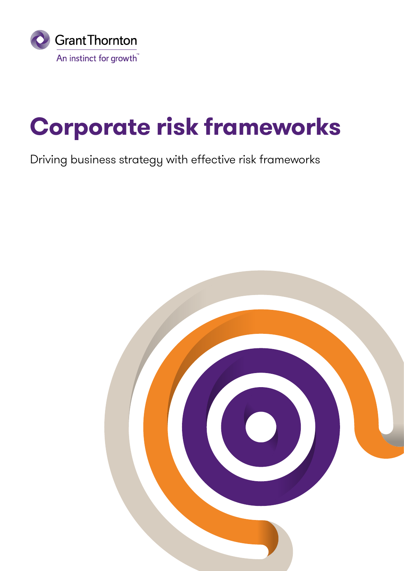

## **Corporate risk frameworks**

## Driving business strategy with effective risk frameworks

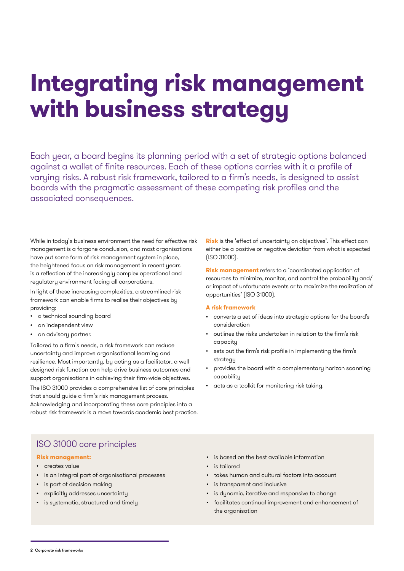## **Integrating risk management with business strategy**

Each year, a board begins its planning period with a set of strategic options balanced against a wallet of finite resources. Each of these options carries with it a profile of varying risks. A robust risk framework, tailored to a firm's needs, is designed to assist boards with the pragmatic assessment of these competing risk profiles and the associated consequences.

While in today's business environment the need for effective risk management is a forgone conclusion, and most organisations have put some form of risk management system in place, the heightened focus on risk management in recent years is a reflection of the increasingly complex operational and regulatory environment facing all corporations.

In light of these increasing complexities, a streamlined risk framework can enable firms to realise their objectives by providing:

- a technical sounding board
- an independent view
- an advisory partner.

Tailored to a firm's needs, a risk framework can reduce uncertainty and improve organisational learning and resilience. Most importantly, by acting as a facilitator, a well designed risk function can help drive business outcomes and support organisations in achieving their firm-wide objectives.

The ISO 31000 provides a comprehensive list of core principles that should guide a firm's risk management process. Acknowledging and incorporating these core principles into a robust risk framework is a move towards academic best practice. **Risk** is the 'effect of uncertainty on objectives'. This effect can either be a positive or negative deviation from what is expected (ISO 31000).

**Risk management** refers to a 'coordinated application of resources to minimize, monitor, and control the probability and/ or impact of unfortunate events or to maximize the realization of opportunities' (ISO 31000).

#### **A risk framework**

- converts a set of ideas into strategic options for the board's consideration
- outlines the risks undertaken in relation to the firm's risk capacity
- sets out the firm's risk profile in implementing the firm's strategy
- provides the board with a complementary horizon scanning capability
- acts as a toolkit for monitoring risk taking.

## ISO 31000 core principles

- **Risk management:**
- creates value
- is an integral part of organisational processes
- is part of decision making
- explicitly addresses uncertainty
- is sustematic, structured and timelu
- is based on the best available information
- is tailored
- takes human and cultural factors into account
- is transparent and inclusive
- is dynamic, iterative and responsive to change
- facilitates continual improvement and enhancement of the organisation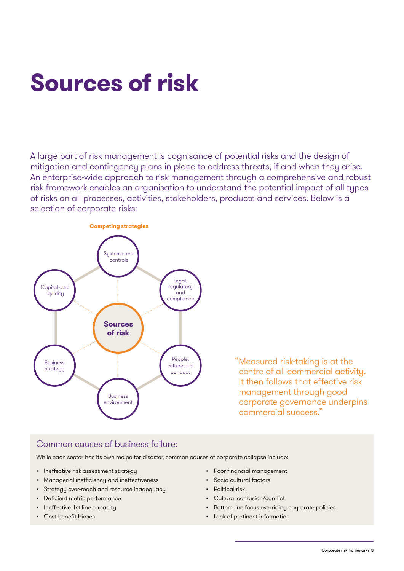## **Sources of risk**

A large part of risk management is cognisance of potential risks and the design of mitigation and contingency plans in place to address threats, if and when they arise. An enterprise-wide approach to risk management through a comprehensive and robust risk framework enables an organisation to understand the potential impact of all types of risks on all processes, activities, stakeholders, products and services. Below is a selection of corporate risks:



"Measured risk-taking is at the centre of all commercial activity. It then follows that effective risk management through good corporate governance underpins commercial success."

## Common causes of business failure:

While each sector has its own recipe for disaster, common causes of corporate collapse include:

- Ineffective risk assessment strategy
- Managerial inefficiency and ineffectiveness
- Strategy over-reach and resource inadequacy
- Deficient metric performance
- Ineffective 1st line capacity
- Cost-benefit biases
- Poor financial management
- Socio-cultural factors
- Political risk
- Cultural confusion/conflict
- Bottom line focus overriding corporate policies
- Lack of pertinent information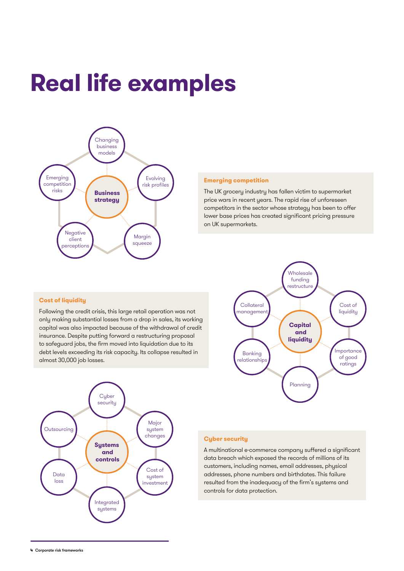### **Real life examples** Changing business



#### **Emerging competition**

The UK grocery industry has fallen victim to supermarket price wars in recent years. The rapid rise of unforeseen competitors in the sector whose strategy has been to offer Lower base prices has created significant pricing pressure on UK supermarkets. creat  $\mathsf{S}$ .

### **Cost of liquidity**

Following the credit crisis, this large retail operation was not only making substantial losses from a drop in sales, its working capital was also impacted because of the withdrawal of credit insurance. Despite putting forward a restructuring proposal to safeguard jobs, the firm moved into liquidation due to its **Capital**  debt levels exceeding its risk capacity. Its collapse resulted in **and** almost 30,000 job losses. Planning nly making substantial losses from a drop in sc aii operatic





investment

### **Cyber security**

A multinational e-commerce company suffered a significant data breach which exposed the records of millions of its customers, including names, email addresses, physical addresses, phone numbers and birthdates. This failure resulted from the inadequacy of the firm's systems and **Systems**  controls for data protection.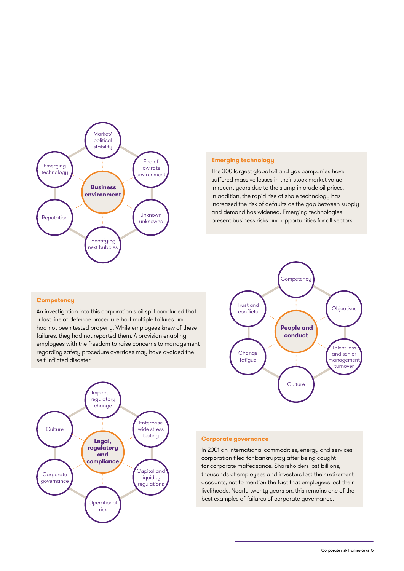

#### **Emerging technology**

The 300 largest global oil and gas companies have **environment**  suffered massive losses in their stock market value in recent years due to the slump in crude oil prices. In addition, the rapid rise of shale technology has increased the risk of defaults as the gap between supply and demand has widened. Emerging technologies present business risks and opportunities for all sectors. pportanner nas <sub>sa</sub>

#### **Competency**

An investigation into this corporation's oil spill concluded that a last line of defence procedure had multiple failures and had not been tested properly. While employees knew of these failures, they had not reported them. A provision enabling employees with the freedom to raise concerns to management emplogees with the meedom to raise concerns to managemen<br>regarding safety procedure overrides may have avoided the self-inflicted disaster. **conduct**  stille ا<br>انتظام استغار manapie ruma





#### **Corporate governance**

In 2001 an international commodities, energy and services corporation filed for bankruptcy after being caught for corporate malfeasance. Shareholders lost billions, where thousands of employees and investors lost their retirement accounts, not to mention the fact that employees lost their livelihoods. Nearly twenty years on, this remains one of the **and** best examples of failures of corporate governance. **regulatory**

Operational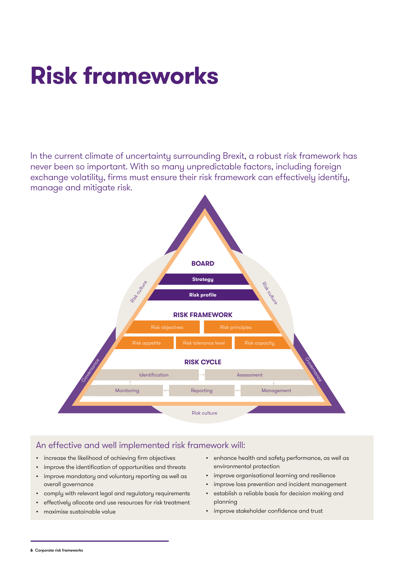# **Risk frameworks**

In the current climate of uncertainty surrounding Brexit, a robust risk framework has never been so important. With so many unpredictable factors, including foreign exchange volatility, firms must ensure their risk framework can effectively identify, manage and mitigate risk.



## An effective and well implemented risk framework will:

- increase the likelihood of achieving firm objectives
- improve the identification of opportunities and threats
- improve mandatory and voluntary reporting as well as overall governance
- comply with relevant legal and regulatory requirements
- effectively allocate and use resources for risk treatment
- maximise sustainable value
- enhance health and safety performance, as well as environmental protection
- improve organisational learning and resilience
- improve loss prevention and incident management
- establish a reliable basis for decision making and planning
- improve stakeholder confidence and trust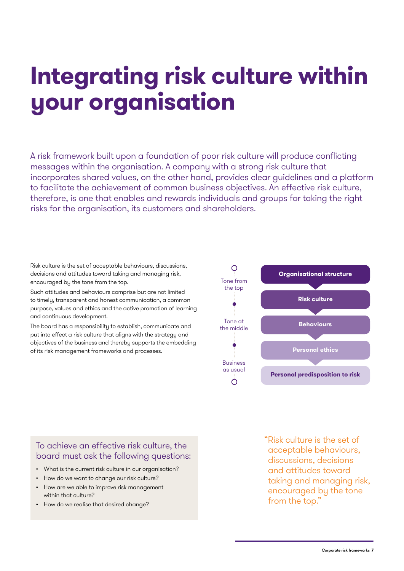## **Integrating risk culture within your organisation**

A risk framework built upon a foundation of poor risk culture will produce conflicting messages within the organisation. A company with a strong risk culture that incorporates shared values, on the other hand, provides clear guidelines and a platform to facilitate the achievement of common business objectives. An effective risk culture, therefore, is one that enables and rewards individuals and groups for taking the right risks for the organisation, its customers and shareholders.

Risk culture is the set of acceptable behaviours, discussions, decisions and attitudes toward taking and managing risk, encouraged by the tone from the top.

Such attitudes and behaviours comprise but are not limited to timely, transparent and honest communication, a common purpose, values and ethics and the active promotion of learning and continuous development.

The board has a responsibility to establish, communicate and put into effect a risk culture that aligns with the strategy and objectives of the business and thereby supports the embedding of its risk management frameworks and processes.



## To achieve an effective risk culture, the board must ask the following questions:

- What is the current risk culture in our organisation?
- How do we want to change our risk culture?
- How are we able to improve risk management within that culture?
- How do we realise that desired change?

"Risk culture is the set of acceptable behaviours, discussions, decisions and attitudes toward taking and managing risk, encouraged by the tone from the top."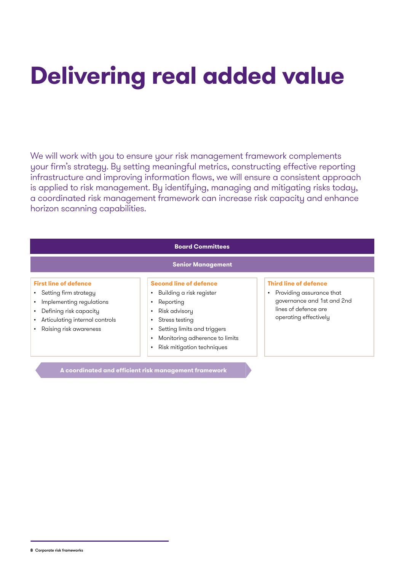# **Delivering real added value**

We will work with you to ensure your risk management framework complements your firm's strategy. By setting meaningful metrics, constructing effective reporting infrastructure and improving information flows, we will ensure a consistent approach is applied to risk management. By identifying, managing and mitigating risks today, a coordinated risk management framework can increase risk capacity and enhance horizon scanning capabilities.

| <b>Board Committees</b>                                                                                                                                                                                          |                                                                                                                                                                                                                                                                                             |                                                                                                                                                      |  |
|------------------------------------------------------------------------------------------------------------------------------------------------------------------------------------------------------------------|---------------------------------------------------------------------------------------------------------------------------------------------------------------------------------------------------------------------------------------------------------------------------------------------|------------------------------------------------------------------------------------------------------------------------------------------------------|--|
| <b>Senior Management</b>                                                                                                                                                                                         |                                                                                                                                                                                                                                                                                             |                                                                                                                                                      |  |
| <b>First line of defence</b><br>• Setting firm strategy<br>Implementing regulations<br>$\bullet$<br>Defining risk capacity<br>$\bullet$<br>Articulating internal controls<br>$\bullet$<br>Raising risk awareness | <b>Second line of defence</b><br>Building a risk register<br>٠<br>Reporting<br>$\bullet$<br>Risk advisory<br>$\bullet$<br>Stress testing<br>$\bullet$<br>Setting limits and triggers<br>$\bullet$<br>Monitoring adherence to limits<br>$\bullet$<br>Risk mitigation techniques<br>$\bullet$ | <b>Third line of defence</b><br>Providing assurance that<br>$\bullet$<br>governance and 1st and 2nd<br>lines of defence are<br>operating effectively |  |

**A coordinated and efficient risk management framework**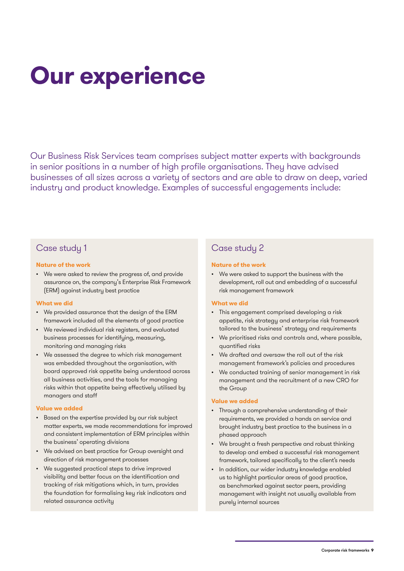# **Our experience**

Our Business Risk Services team comprises subject matter experts with backgrounds in senior positions in a number of high profile organisations. They have advised businesses of all sizes across a variety of sectors and are able to draw on deep, varied industry and product knowledge. Examples of successful engagements include:

## Case study 1

#### **Nature of the work**

• We were asked to review the progress of, and provide assurance on, the company's Enterprise Risk Framework (ERM) against industry best practice

#### **What we did**

- We provided assurance that the design of the ERM framework included all the elements of good practice
- We reviewed individual risk registers, and evaluated business processes for identifying, measuring, monitoring and managing risks
- We assessed the degree to which risk management was embedded throughout the organisation, with board approved risk appetite being understood across all business activities, and the tools for managing risks within that appetite being effectively utilised by managers and staff

#### **Value we added**

- Based on the expertise provided by our risk subject matter experts, we made recommendations for improved and consistent implementation of ERM principles within the business' operating divisions
- We advised on best practice for Group oversight and direction of risk management processes
- We suggested practical steps to drive improved visibility and better focus on the identification and tracking of risk mitigations which, in turn, provides the foundation for formalising key risk indicators and related assurance activity

## Case study 2

#### **Nature of the work**

We were asked to support the business with the development, roll out and embedding of a successful risk management framework

### **What we did**

- This engagement comprised developing a risk appetite, risk strategy and enterprise risk framework tailored to the business' strategy and requirements
- We prioritised risks and controls and, where possible, quantified risks
- We drafted and oversaw the roll out of the risk management framework's policies and procedures
- We conducted training of senior management in risk management and the recruitment of a new CRO for the Group

#### **Value we added**

- Through a comprehensive understanding of their requirements, we provided a hands on service and brought industry best practice to the business in a phased approach
- We brought a fresh perspective and robust thinking to develop and embed a successful risk management framework, tailored specifically to the client's needs
- In addition, our wider industry knowledge enabled us to highlight particular areas of good practice, as benchmarked against sector peers, providing management with insight not usually available from purely internal sources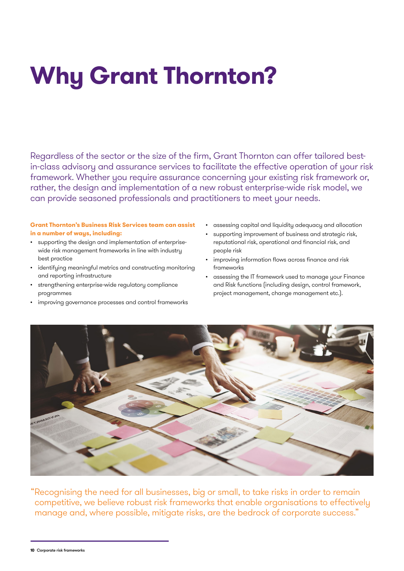# **Why Grant Thornton?**

Regardless of the sector or the size of the firm, Grant Thornton can offer tailored bestin-class advisory and assurance services to facilitate the effective operation of your risk framework. Whether you require assurance concerning your existing risk framework or, rather, the design and implementation of a new robust enterprise-wide risk model, we can provide seasoned professionals and practitioners to meet your needs.

### **Grant Thornton's Business Risk Services team can assist in a number of ways, including:**

- supporting the design and implementation of enterprisewide risk management frameworks in line with industry best practice
- identifying meaningful metrics and constructing monitoring and reporting infrastructure
- strengthening enterprise-wide regulatory compliance programmes
- improving governance processes and control frameworks
- assessing capital and liquidity adequacy and allocation
- supporting improvement of business and strategic risk, reputational risk, operational and financial risk, and people risk
- improving information flows across finance and risk frameworks
- assessing the IT framework used to manage your Finance and Risk functions (including design, control framework, project management, change management etc.).



"Recognising the need for all businesses, big or small, to take risks in order to remain competitive, we believe robust risk frameworks that enable organisations to effectively manage and, where possible, mitigate risks, are the bedrock of corporate success."

**<sup>10</sup>** Corporate risk frameworks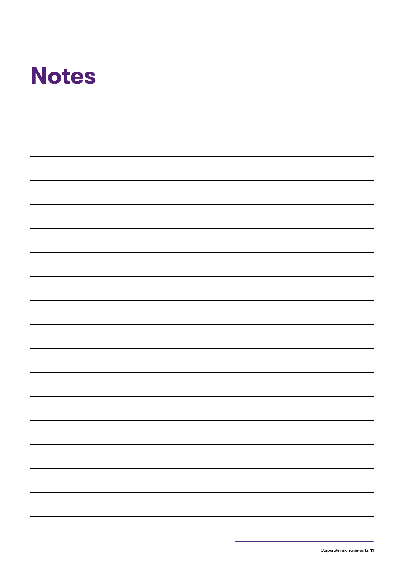